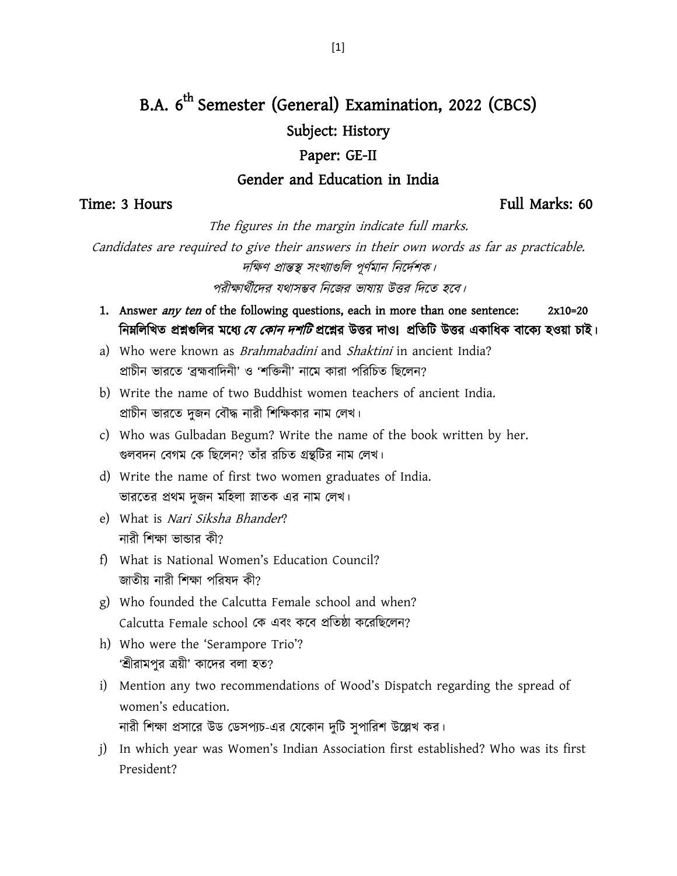# B.A. 6<sup>th</sup> Semester (General) Examination, 2022 (CBCS) Subject: History

#### Paper: GE-II

#### Gender and Education in India

### Time: 3 Hours Full Marks: 60

The figures in the margin indicate full marks.

Candidates are required to give their answers in their own words as far as practicable. দক্ষিণ প্রান্তস্থ সংখ্যাগুলি পূর্ণমান নির্দেশক।

পরীক্ষার্থীদের যথাসম্ভব নিজের ভাষায় উত্তর দিতে হবে।

- 1. Answer *any ten* of the following questions, each in more than one sentence: 2x10=20 ক্ষিন্সিতি প্রশ্নগুলির মধ্যে *যে কোন দশটি* প্রশ্নের উত্তর দাও। প্রতিটি উত্তর একাধিক বাক্যে হওয়া চাই।
- a) Who were known as *Brahmabadini* and *Shaktini* in ancient India? প্রাচীন ভারতে 'ব্রহ্মবাদিনী' ও 'শক্তিনী' নামে কারা পরিচিত ছিলেন?
- b) Write the name of two Buddhist women teachers of ancient India. প্রাচীন ভারতে দুজন বৌদ্ধ নারী শিক্ষিকার নাম লেখ।
- c) Who was Gulbadan Begum? Write the name of the book written by her. গুলবদন বেগম কে ছিলেন? তাঁর রচিত গ্রন্থটির নাম লেখ।
- d) Write the name of first two women graduates of India. ভারতের প্রথম দুজন মহিলা স্নাতক এর নাম লেখ।
- e) What is Nari Siksha Bhander? নারী শিক্ষা ভান্ডার কী?
- f) What is National Women's Education Council? জাতীয় নারী শিক্ষা পরিষদ কী?
- g) Who founded the Calcutta Female school and when? Calcutta Female school কে এবং কবে প্রতিষ্ঠা করেছিলেন?
- h) Who were the 'Serampore Trio'? 'শ্রীরামপুর ত্রয়ী' কাদের বলা হত?
- i) Mention any two recommendations of Wood's Dispatch regarding the spread of women's education. নারী শিক্ষা প্রসারে উড ডেসপ্যচ-এর যেকোন দুটি সুপারিশ উল্লেখ কর।
- j) In which year was Women's Indian Association first established? Who was its first President?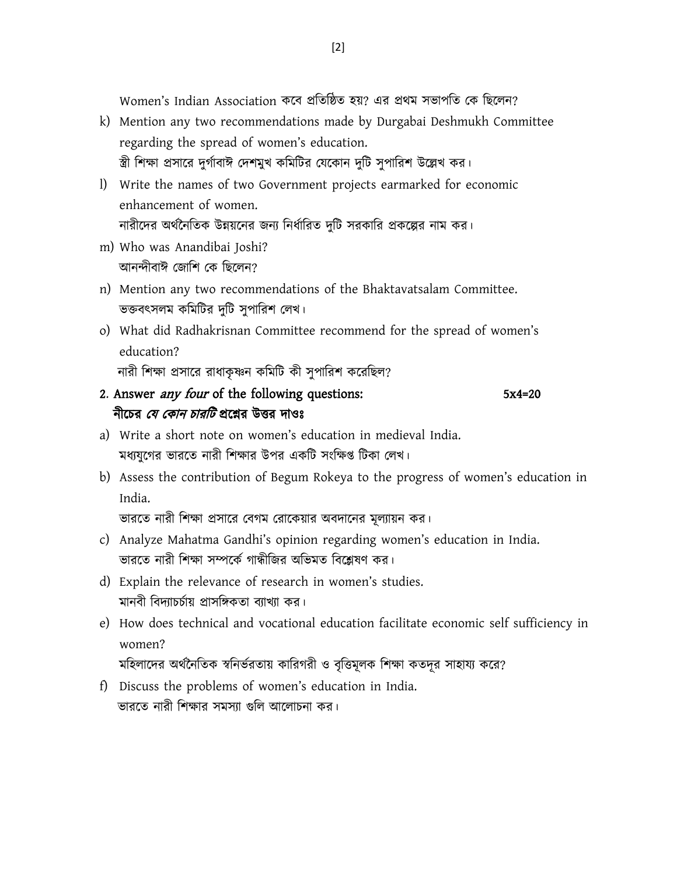Women's Indian Association কর্ব প্রক্ষেক্ষিে য়? এর প্রর্ম ভাপক্ষে যক ক্ষির্ন?

- k) Mention any two recommendations made by Durgabai Deshmukh Committee regarding the spread of women's education. স্ত্রী শিক্ষা প্রসারে দুর্গাবাঈ দেশমুখ কমিটির যেকোন দুটি সুপারিশ উল্লেখ কর।
- l) Write the names of two Government projects earmarked for economic enhancement of women. নারীদের অর্থনৈতিক উন্নয়নের জন্য নির্ধারিত দুটি সরকারি প্রকল্পের নাম কর।
- m) Who was Anandibai Joshi? আনন্দীবাঈ জোশি কে ছিলেন?
- n) Mention any two recommendations of the Bhaktavatsalam Committee. ভক্তবৎসলম কমিটির দুটি সুপারিশ লেখ।
- o) What did Radhakrisnan Committee recommend for the spread of women's education?

নারী শিক্ষা প্রসারে রাধাকৃষ্ণন কমিটি কী সুপারিশ করেছিল?

## 2. Answer *any four* of the following questions: 5x4=20 নীচের *যে কোন চারটি* প্রশ্নের উত্তর দাওঃ

- a) Write a short note on women's education in medieval India. মধ্যযগের ভারতে নারী শিক্ষার উপর একটি সংক্ষিপ্ত টিকা লেখ।
- b) Assess the contribution of Begum Rokeya to the progress of women's education in India.

```
ভারতে নারী শিক্ষা প্রসারে বেগম রোকেয়ার অবদানের মূল্যায়ন কর।
```
- c) Analyze Mahatma Gandhi's opinion regarding women's education in India. ভারতে নারী শিক্ষা সম্পর্কে গান্ধীজির অভিমত বিশ্লেষণ কর।
- d) Explain the relevance of research in women's studies. মানবী বিদ্যাচর্চায় প্রাসঙ্গিকতা ব্যাখ্যা কর।
- e) How does technical and vocational education facilitate economic self sufficiency in women?

মহিলাদের অর্থনৈতিক স্বনির্ভরতায় কারিগরী ও বৃত্তিমূলক শিক্ষা কতদূর সাহায্য করে?

f) Discuss the problems of women's education in India. ভারতে নারী শিক্ষার সমস্যা গুলি আলোচনা কর।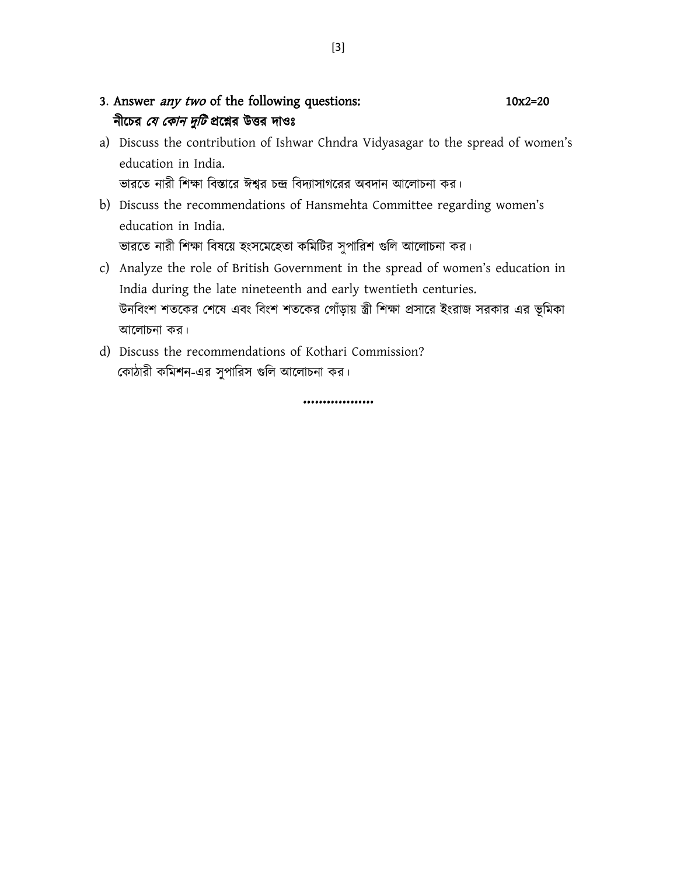- 3. Answer *any two* of the following questions: 10x2=20 নীচের *যে কোন দুটি* প্রশ্নের উত্তর দাওঃ
- a) Discuss the contribution of Ishwar Chndra Vidyasagar to the spread of women's education in India. ভারতে নারী শিক্ষা বিস্তারে ঈশ্বর চন্দ্র বিদ্যাসাগরের অবদান আলোচনা কর।
- b) Discuss the recommendations of Hansmehta Committee regarding women's education in India. ভারতে নারী শিক্ষা বিষয়ে হংসমেহেতা কমিটির সুপারিশ গুলি আলোচনা কর।
- c) Analyze the role of British Government in the spread of women's education in India during the late nineteenth and early twentieth centuries. উনবিংশ শতকের শেষে এবং বিংশ শতকের গোঁড়ায় স্ত্রী শিক্ষা প্রসারে ইংরাজ সরকার এর ভূমিকা আলোচনা কর।
- d) Discuss the recommendations of Kothari Commission? কোঠারী কমিশন-এর সুপারিস গুলি আলোচনা কর।

………………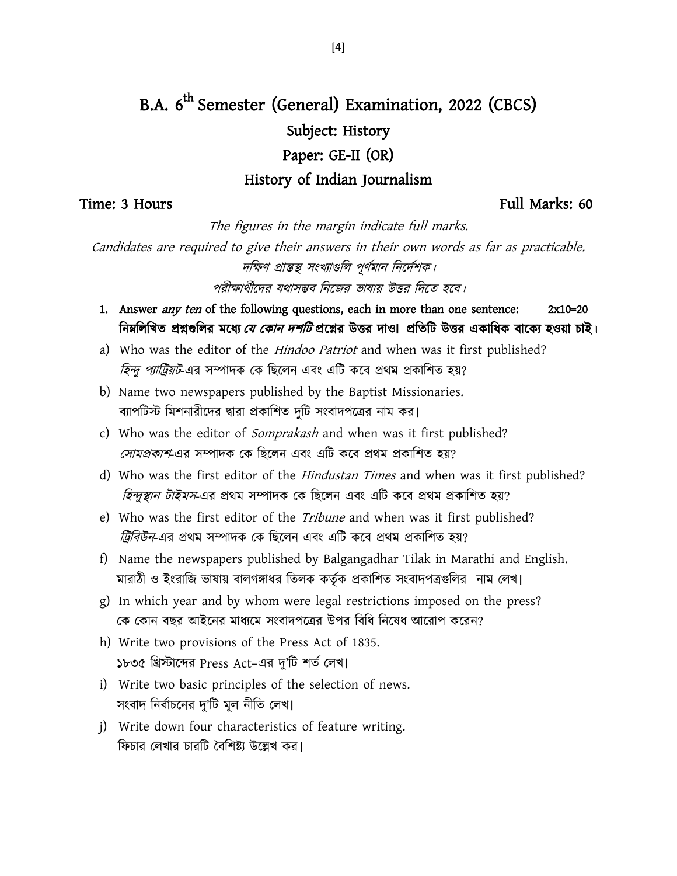## B.A. 6<sup>th</sup> Semester (General) Examination, 2022 (CBCS) Subject: History Paper: GE-II (OR) History of Indian Journalism

Time: 3 Hours Full Marks: 60

The figures in the margin indicate full marks.

Candidates are required to give their answers in their own words as far as practicable. দক্ষিণ প্রান্তস্থ সংখ্যাগুলি পূর্ণমান নির্দেশক।

পরীক্ষার্থীদের যথাসম্ভব নিজের ভাষায় উত্তর দিতে হবে।

- 1. Answer *any ten* of the following questions, each in more than one sentence: 2x10=20 ক্ষিন্দিখিত প্রশ্নগুলির মধ্যে *যে কোন দশটি* প্রশ্নের উত্তর দাও। প্রতিটি উত্তর একাধিক বাক্যে হওয়া চাই।
- a) Who was the editor of the *Hindoo Patriot* and when was it first published? *হিন্দু প্যাট্রিয়ট*-এর সম্পাদক কে ছিলেন এবং এটি কবে প্রথম প্রকাশিত হয়?
- b) Name two newspapers published by the Baptist Missionaries. ব্যাপটিস্ট মিশনারীদের দ্বারা প্রকাশিত দুটি সংবাদপত্রের নাম কর।
- c) Who was the editor of *Somprakash* and when was it first published? *সোমপ্রকাশ*-এর সম্পাদক কে ছিলেন এবং এটি কবে প্রথম প্রকাশিত হয়?
- d) Who was the first editor of the *Hindustan Times* and when was it first published? তিন্দুস্থান টাইমস-এর প্রথম সম্পাদক কে ছিলেন এবং এটি কবে প্রথম প্রকাশিত হয়?
- e) Who was the first editor of the *Tribune* and when was it first published? ট্রিবিউন-এর প্রথম সম্পাদক কে ছিলেন এবং এটি কবে প্রথম প্রকাশিত হয়?
- f) Name the newspapers published by Balgangadhar Tilak in Marathi and English. মারাঠী ও ইংরাজি ভাষায় বালগঙ্গাধর তিলক কর্তৃক প্রকাশিত সংবাদপত্রগুলির নাম লেখ।
- g) In which year and by whom were legal restrictions imposed on the press? কে কোন বছর আইনের মাধ্যমে সংবাদপত্রের উপর বিধি নিষেধ আরোপ করেন?
- h) Write two provisions of the Press Act of 1835. ১৮৩৫ খ্রিস্টাব্দের Press Act-এর দু'টি শর্ত লেখ।
- i) Write two basic principles of the selection of news. সংবাদ নির্বাচনের দু'টি মূল নীতি লেখ।
- j) Write down four characteristics of feature writing. ফিচার লেখার চারটি বৈশিষ্ট্য উল্লেখ কর।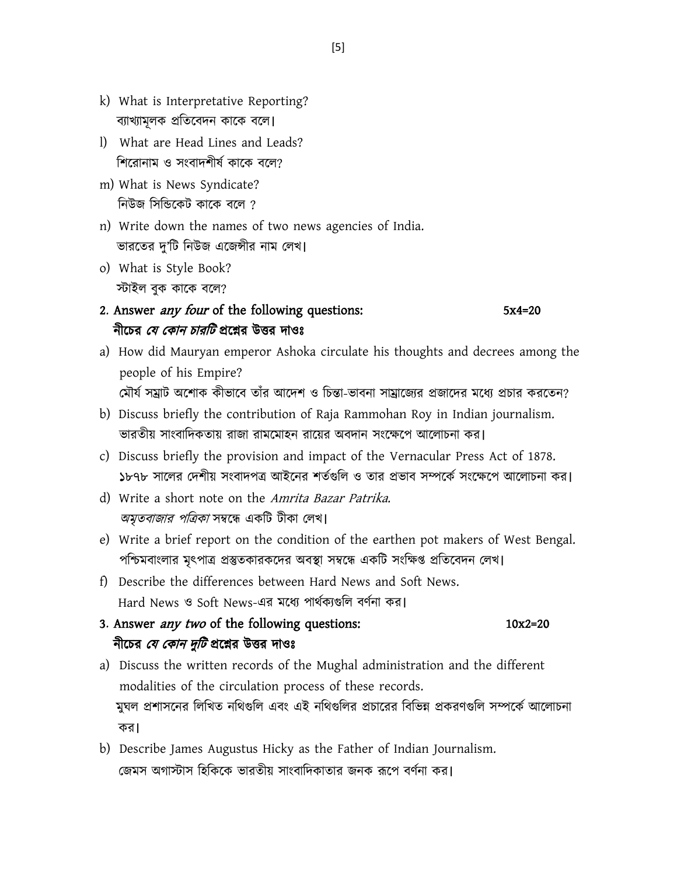- k) What is Interpretative Reporting? ব্যাখ্যামূলক প্রতিবেদন কাকে বলে।
- l) What are Head Lines and Leads? শিরোনাম ও সংবাদশীর্ষ কাকে বলে?
- m) What is News Syndicate? নিউজ সিন্ডিকেট কাকে বলে ?
- n) Write down the names of two news agencies of India. ভারতের দু'টি নিউজ এজেন্সীর নাম লেখ।
- o) What is Style Book? স্টাইর ফুক কাবক ফবর?

### 2. Answer *any four* of the following questions: 5x4=20 নীচের *যে কোন চারটি* প্রশ্নের উত্তর দাওঃ

- a) How did Mauryan emperor Ashoka circulate his thoughts and decrees among the people of his Empire? মৌর্য সম্রাট অশোক কীভাবে তাঁর আদেশ ও চিন্তা-ভাবনা সাম্রাজ্যের প্রজাদের মধ্যে প্রচার করতেন?
- b) Discuss briefly the contribution of Raja Rammohan Roy in Indian journalism. ভারতীয় সাংবাদিকতায় রাজা রামমোহন রায়ের অবদান সংক্ষেপে আলোচনা কর।
- c) Discuss briefly the provision and impact of the Vernacular Press Act of 1878. ১৮৭৮ সালের দেশীয় সংবাদপত্র আইনের শর্তগুলি ও তার প্রভাব সম্পর্কে সংক্ষেপে আলোচনা কর।
- d) Write a short note on the Amrita Bazar Patrika. *অমৃতবাজার পত্রিকা* সম্বন্ধে একটি টীকা লেখ।
- e) Write a brief report on the condition of the earthen pot makers of West Bengal. পশ্চিমবাংলার মৃৎপাত্র প্রস্তুতকারকদের অবস্থা সম্বন্ধে একটি সংক্ষিপ্ত প্রতিবেদন লেখ।
- f) Describe the differences between Hard News and Soft News. Hard News ও Soft News-এর মধ্যে পার্থক্যগুলি বর্ণনা কর।

3. Answer *any two* of the following questions: 10x2=20 নীচের *যে কোন দুটি* প্রশ্নের উত্তর দাওঃ

- a) Discuss the written records of the Mughal administration and the different modalities of the circulation process of these records. মুঘল প্রশাসনের লিখিত নথিগুলি এবং এই নথিগুলির প্রচারের বিভিন্ন প্রকরণগুলি সম্পর্কে আলোচনা কয।
- b) Describe James Augustus Hicky as the Father of Indian Journalism. জেমস অগাস্টাস হিকিকে ভারতীয় সাংবাদিকাতার জনক রূপে বর্ণনা কর।